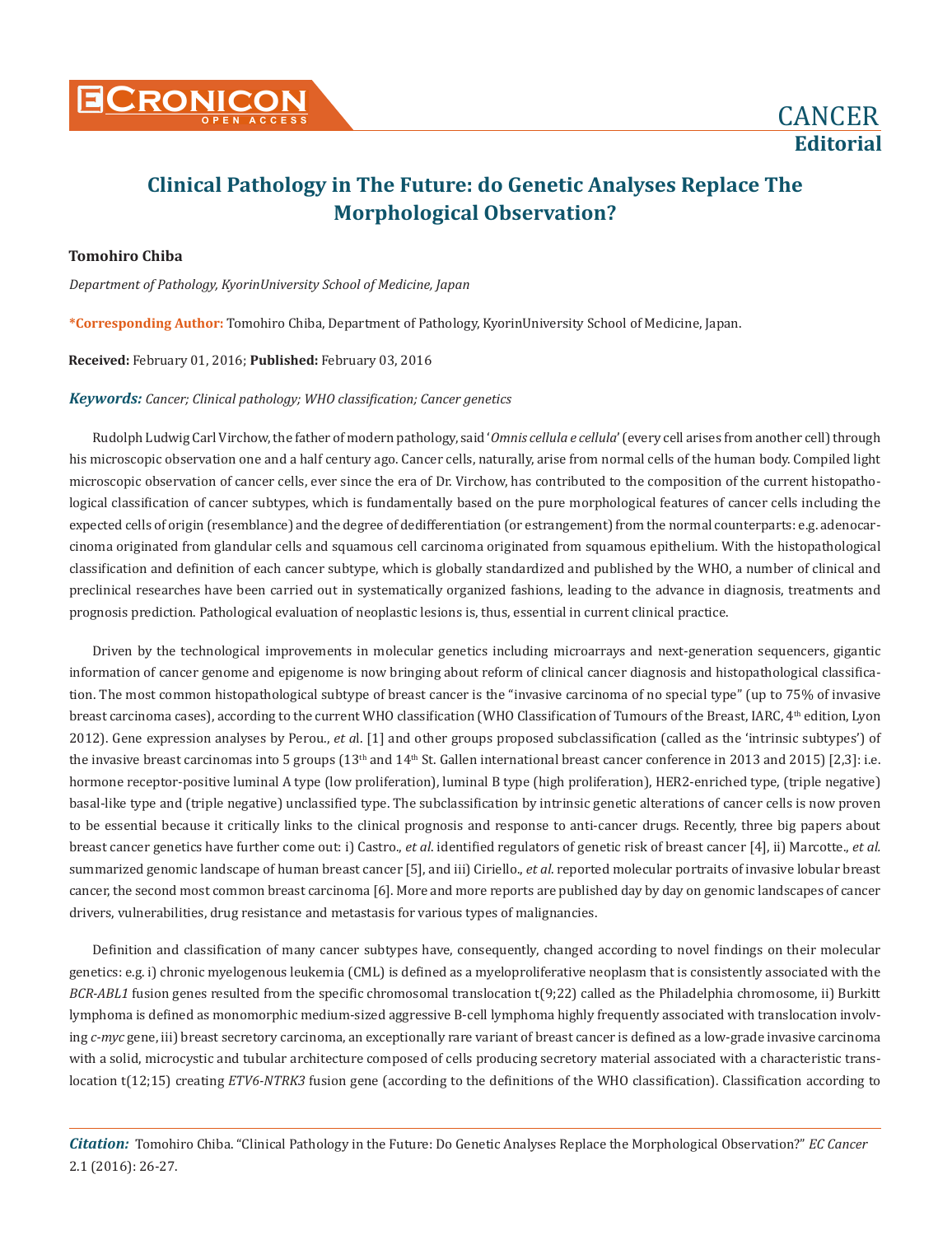

# **Clinical Pathology in The Future: do Genetic Analyses Replace The Morphological Observation?**

### **Tomohiro Chiba**

*Department of Pathology, KyorinUniversity School of Medicine, Japan*

**\*Corresponding Author:** Tomohiro Chiba, Department of Pathology, KyorinUniversity School of Medicine, Japan.

#### **Received:** February 01, 2016; **Published:** February 03, 2016

#### *Keywords: Cancer; Clinical pathology; WHO classification; Cancer genetics*

Rudolph Ludwig Carl Virchow, the father of modern pathology, said '*Omnis cellula e cellula*' (every cell arises from another cell) through his microscopic observation one and a half century ago. Cancer cells, naturally, arise from normal cells of the human body. Compiled light microscopic observation of cancer cells, ever since the era of Dr. Virchow, has contributed to the composition of the current histopathological classification of cancer subtypes, which is fundamentally based on the pure morphological features of cancer cells including the expected cells of origin (resemblance) and the degree of dedifferentiation (or estrangement) from the normal counterparts: e.g. adenocarcinoma originated from glandular cells and squamous cell carcinoma originated from squamous epithelium. With the histopathological classification and definition of each cancer subtype, which is globally standardized and published by the WHO, a number of clinical and preclinical researches have been carried out in systematically organized fashions, leading to the advance in diagnosis, treatments and prognosis prediction. Pathological evaluation of neoplastic lesions is, thus, essential in current clinical practice.

Driven by the technological improvements in molecular genetics including microarrays and next-generation sequencers, gigantic information of cancer genome and epigenome is now bringing about reform of clinical cancer diagnosis and histopathological classification. The most common histopathological subtype of breast cancer is the "invasive carcinoma of no special type" (up to 75% of invasive breast carcinoma cases), according to the current WHO classification (WHO Classification of Tumours of the Breast, IARC, 4<sup>th</sup> edition, Lyon 2012). Gene expression analyses by Perou., *et a*l. [1] and other groups proposed subclassification (called as the 'intrinsic subtypes') of the invasive breast carcinomas into 5 groups (13<sup>th</sup> and 14<sup>th</sup> St. Gallen international breast cancer conference in 2013 and 2015) [2,3]: i.e. hormone receptor-positive luminal A type (low proliferation), luminal B type (high proliferation), HER2-enriched type, (triple negative) basal-like type and (triple negative) unclassified type. The subclassification by intrinsic genetic alterations of cancer cells is now proven to be essential because it critically links to the clinical prognosis and response to anti-cancer drugs. Recently, three big papers about breast cancer genetics have further come out: i) Castro., *et al*. identified regulators of genetic risk of breast cancer [4], ii) Marcotte., *et al.*  summarized genomic landscape of human breast cancer [5], and iii) Ciriello., *et al*. reported molecular portraits of invasive lobular breast cancer, the second most common breast carcinoma [6]. More and more reports are published day by day on genomic landscapes of cancer drivers, vulnerabilities, drug resistance and metastasis for various types of malignancies.

Definition and classification of many cancer subtypes have, consequently, changed according to novel findings on their molecular genetics: e.g. i) chronic myelogenous leukemia (CML) is defined as a myeloproliferative neoplasm that is consistently associated with the *BCR-ABL1* fusion genes resulted from the specific chromosomal translocation t(9;22) called as the Philadelphia chromosome, ii) Burkitt lymphoma is defined as monomorphic medium-sized aggressive B-cell lymphoma highly frequently associated with translocation involving *c-myc* gene, iii) breast secretory carcinoma, an exceptionally rare variant of breast cancer is defined as a low-grade invasive carcinoma with a solid, microcystic and tubular architecture composed of cells producing secretory material associated with a characteristic translocation t(12;15) creating *ETV6-NTRK3* fusion gene (according to the definitions of the WHO classification). Classification according to

*Citation:* Tomohiro Chiba. "Clinical Pathology in the Future: Do Genetic Analyses Replace the Morphological Observation?" *EC Cancer* 2.1 (2016): 26-27.